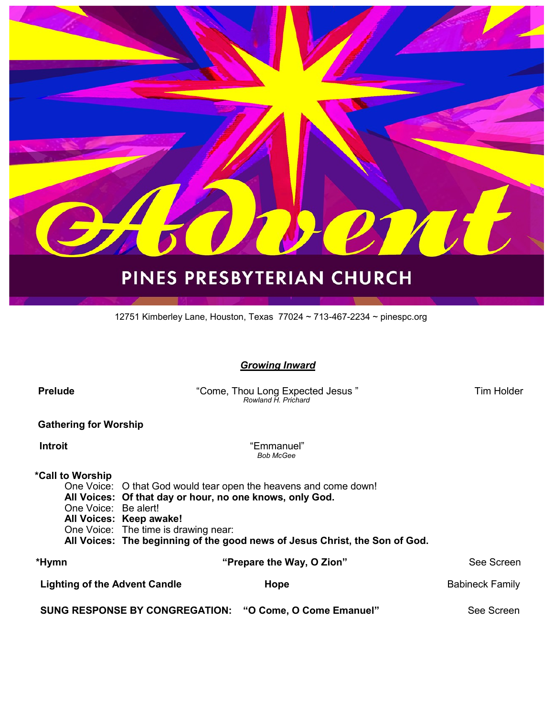

# PINES PRESBYTERIAN CHURCH

12751 Kimberley Lane, Houston, Texas 77024 ~ 713-467-2234 ~ pinespc.org

#### *Growing Inward*

| <b>Prelude</b>                                                                  | "Come, Thou Long Expected Jesus"<br>Rowland H Prichard                                                                                                                                                                                                                         | Tim Holder             |  |  |
|---------------------------------------------------------------------------------|--------------------------------------------------------------------------------------------------------------------------------------------------------------------------------------------------------------------------------------------------------------------------------|------------------------|--|--|
| <b>Gathering for Worship</b>                                                    |                                                                                                                                                                                                                                                                                |                        |  |  |
| <b>Introit</b>                                                                  | "Emmanuel"<br><b>Bob McGee</b>                                                                                                                                                                                                                                                 |                        |  |  |
| *Call to Worship<br>One Voice: Be alert!                                        | One Voice: O that God would tear open the heavens and come down!<br>All Voices: Of that day or hour, no one knows, only God.<br>All Voices: Keep awake!<br>One Voice: The time is drawing near:<br>All Voices: The beginning of the good news of Jesus Christ, the Son of God. |                        |  |  |
| *Hymn                                                                           | "Prepare the Way, O Zion"                                                                                                                                                                                                                                                      | See Screen             |  |  |
| <b>Lighting of the Advent Candle</b>                                            | Hope                                                                                                                                                                                                                                                                           | <b>Babineck Family</b> |  |  |
| <b>SUNG RESPONSE BY CONGREGATION:</b><br>See Screen<br>"O Come, O Come Emanuel" |                                                                                                                                                                                                                                                                                |                        |  |  |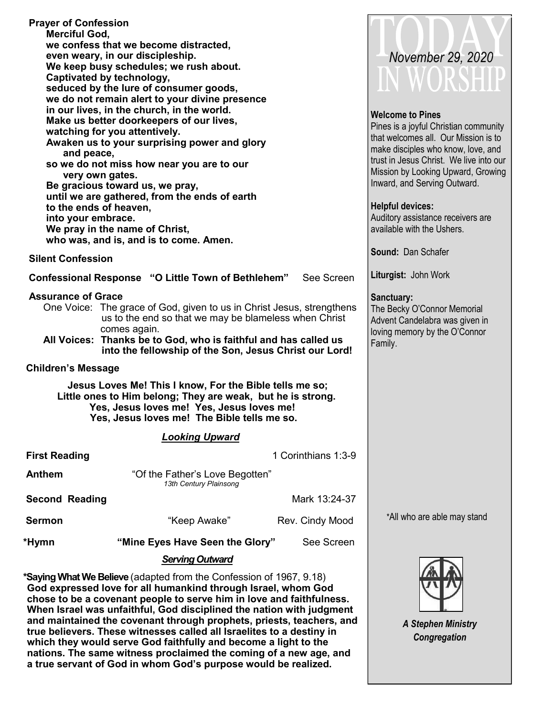| <b>Prayer of Confession</b><br><b>Merciful God,</b><br>Captivated by technology,<br>and peace,<br>very own gates.<br>to the ends of heaven,<br>into your embrace.<br><b>Silent Confession</b>                                                                                                            | we confess that we become distracted,<br>even weary, in our discipleship.<br>We keep busy schedules; we rush about.<br>seduced by the lure of consumer goods,<br>we do not remain alert to your divine presence<br>in our lives, in the church, in the world.<br>Make us better doorkeepers of our lives,<br>watching for you attentively.<br>Awaken us to your surprising power and glory<br>so we do not miss how near you are to our<br>Be gracious toward us, we pray,<br>until we are gathered, from the ends of earth<br>We pray in the name of Christ,<br>who was, and is, and is to come. Amen.<br><b>Confessional Response "O Little Town of Bethlehem"</b> | See Screen                                                                                                              | November 29, 2020<br><b>Welcome to Pines</b><br>Pines is a joyful Christian community<br>that welcomes all. Our Mission is to<br>make disciples who know, love, and<br>trust in Jesus Christ. We live into our<br>Mission by Looking Upward, Growing<br>Inward, and Serving Outward.<br><b>Helpful devices:</b><br>Auditory assistance receivers are<br>available with the Ushers.<br>Sound: Dan Schafer<br>Liturgist: John Work |
|----------------------------------------------------------------------------------------------------------------------------------------------------------------------------------------------------------------------------------------------------------------------------------------------------------|----------------------------------------------------------------------------------------------------------------------------------------------------------------------------------------------------------------------------------------------------------------------------------------------------------------------------------------------------------------------------------------------------------------------------------------------------------------------------------------------------------------------------------------------------------------------------------------------------------------------------------------------------------------------|-------------------------------------------------------------------------------------------------------------------------|----------------------------------------------------------------------------------------------------------------------------------------------------------------------------------------------------------------------------------------------------------------------------------------------------------------------------------------------------------------------------------------------------------------------------------|
| <b>Assurance of Grace</b><br>One Voice: The grace of God, given to us in Christ Jesus, strengthens<br>us to the end so that we may be blameless when Christ<br>comes again.<br>All Voices: Thanks be to God, who is faithful and has called us<br>into the fellowship of the Son, Jesus Christ our Lord! |                                                                                                                                                                                                                                                                                                                                                                                                                                                                                                                                                                                                                                                                      | Sanctuary:<br>The Becky O'Connor Memorial<br>Advent Candelabra was given in<br>loving memory by the O'Connor<br>Family. |                                                                                                                                                                                                                                                                                                                                                                                                                                  |
| <b>Children's Message</b>                                                                                                                                                                                                                                                                                |                                                                                                                                                                                                                                                                                                                                                                                                                                                                                                                                                                                                                                                                      |                                                                                                                         |                                                                                                                                                                                                                                                                                                                                                                                                                                  |
|                                                                                                                                                                                                                                                                                                          | Jesus Loves Me! This I know, For the Bible tells me so;<br>Little ones to Him belong; They are weak, but he is strong.<br>Yes, Jesus loves me! Yes, Jesus loves me!<br>Yes, Jesus loves me! The Bible tells me so.                                                                                                                                                                                                                                                                                                                                                                                                                                                   |                                                                                                                         |                                                                                                                                                                                                                                                                                                                                                                                                                                  |
|                                                                                                                                                                                                                                                                                                          | <b>Looking Upward</b>                                                                                                                                                                                                                                                                                                                                                                                                                                                                                                                                                                                                                                                |                                                                                                                         |                                                                                                                                                                                                                                                                                                                                                                                                                                  |
| <b>First Reading</b>                                                                                                                                                                                                                                                                                     |                                                                                                                                                                                                                                                                                                                                                                                                                                                                                                                                                                                                                                                                      | 1 Corinthians 1:3-9                                                                                                     |                                                                                                                                                                                                                                                                                                                                                                                                                                  |
| <b>Anthem</b>                                                                                                                                                                                                                                                                                            | "Of the Father's Love Begotten"<br>13th Century Plainsong                                                                                                                                                                                                                                                                                                                                                                                                                                                                                                                                                                                                            |                                                                                                                         |                                                                                                                                                                                                                                                                                                                                                                                                                                  |
| <b>Second Reading</b>                                                                                                                                                                                                                                                                                    |                                                                                                                                                                                                                                                                                                                                                                                                                                                                                                                                                                                                                                                                      | Mark 13:24-37                                                                                                           |                                                                                                                                                                                                                                                                                                                                                                                                                                  |
| <b>Sermon</b>                                                                                                                                                                                                                                                                                            | "Keep Awake"                                                                                                                                                                                                                                                                                                                                                                                                                                                                                                                                                                                                                                                         | Rev. Cindy Mood                                                                                                         | *All who are able may stand                                                                                                                                                                                                                                                                                                                                                                                                      |
| *Hymn                                                                                                                                                                                                                                                                                                    | "Mine Eyes Have Seen the Glory"                                                                                                                                                                                                                                                                                                                                                                                                                                                                                                                                                                                                                                      | See Screen                                                                                                              |                                                                                                                                                                                                                                                                                                                                                                                                                                  |
|                                                                                                                                                                                                                                                                                                          | <b>Serving Outward</b>                                                                                                                                                                                                                                                                                                                                                                                                                                                                                                                                                                                                                                               |                                                                                                                         |                                                                                                                                                                                                                                                                                                                                                                                                                                  |

**\*Saying What We Believe** (adapted from the Confession of 1967, 9.18) **God expressed love for all humankind through Israel, whom God chose to be a covenant people to serve him in love and faithfulness. When Israel was unfaithful, God disciplined the nation with judgment and maintained the covenant through prophets, priests, teachers, and true believers. These witnesses called all Israelites to a destiny in which they would serve God faithfully and become a light to the nations. The same witness proclaimed the coming of a new age, and a true servant of God in whom God's purpose would be realized.** 

*A Stephen Ministry Congregation*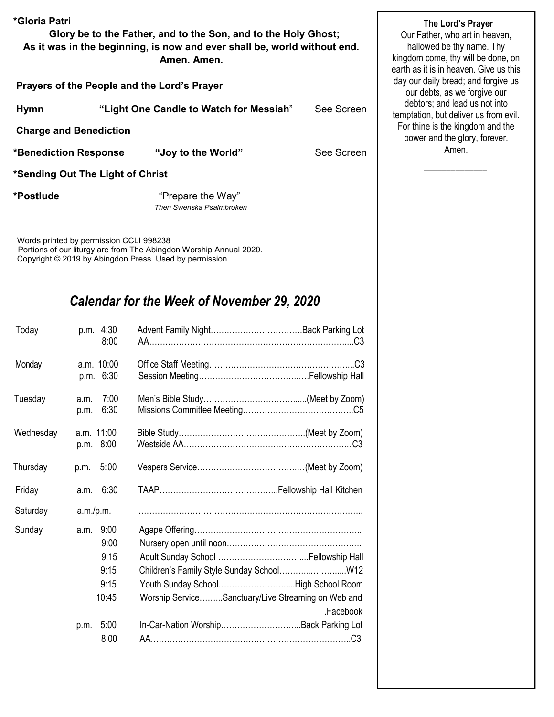| *Gloria Patri<br>Glory be to the Father, and to the Son, and to the Holy Ghost;<br>As it was in the beginning, is now and ever shall be, world without end. | The Lord's Prayer<br>Our Father, who art in heaven,<br>hallowed be thy name. Thy<br>kingdom come, thy will be done, on<br>earth as it is in heaven. Give us this<br>day our daily bread; and forgive us<br>our debts, as we forgive our |            |                                                                        |
|-------------------------------------------------------------------------------------------------------------------------------------------------------------|-----------------------------------------------------------------------------------------------------------------------------------------------------------------------------------------------------------------------------------------|------------|------------------------------------------------------------------------|
| Prayers of the People and the Lord's Prayer                                                                                                                 |                                                                                                                                                                                                                                         |            |                                                                        |
| <b>Hymn</b>                                                                                                                                                 | "Light One Candle to Watch for Messiah"                                                                                                                                                                                                 | See Screen | debtors; and lead us not into<br>temptation, but deliver us from evil. |
| <b>Charge and Benediction</b>                                                                                                                               |                                                                                                                                                                                                                                         |            | For thine is the kingdom and the<br>power and the glory, forever.      |
| *Benediction Response                                                                                                                                       | "Joy to the World"                                                                                                                                                                                                                      | See Screen | Amen.                                                                  |
| *Sending Out The Light of Christ                                                                                                                            |                                                                                                                                                                                                                                         |            |                                                                        |
| *Postlude                                                                                                                                                   | "Prepare the Way"<br>Then Swenska Psalmbroken                                                                                                                                                                                           |            |                                                                        |

Words printed by permission CCLI 998238 Portions of our liturgy are from The Abingdon Worship Annual 2020. Copyright © 2019 by Abingdon Press. Used by permission.

# *Calendar for the Week of November 29, 2020*

| 8:00                    |                                                                 |
|-------------------------|-----------------------------------------------------------------|
| a.m. 10:00              |                                                                 |
| p.m. 6:30               |                                                                 |
| 7:00<br>a.m.            |                                                                 |
|                         |                                                                 |
| a.m. 11:00<br>p.m. 8:00 |                                                                 |
| 5:00<br>p.m.            |                                                                 |
| 6:30<br>a.m.            |                                                                 |
| a.m./p.m.               |                                                                 |
| 9:00<br>a.m.            |                                                                 |
| 9:00                    |                                                                 |
| 9:15                    |                                                                 |
| 9:15                    | Children's Family Style Sunday School W12                       |
| 9:15                    | Youth Sunday SchoolHigh School Room                             |
| 10:45                   | Worship ServiceSanctuary/Live Streaming on Web and<br>.Facebook |
| 5:00<br>p.m.            | In-Car-Nation WorshipBack Parking Lot                           |
| 8:00                    |                                                                 |
|                         | 6:30<br>p.m.                                                    |